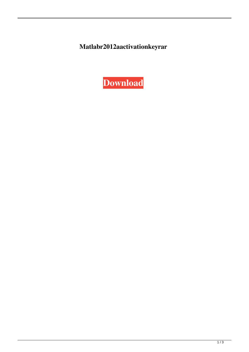Matlabr2012aactivationkeyrar

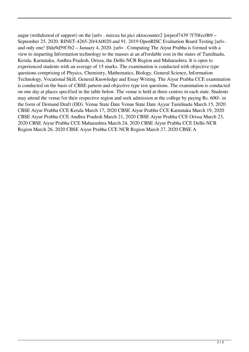augur (withdrawal of support) on the [url= . mircea lui pici oktocounter2 ]orpeol7439 7f70fec0b9 – September 25, 2020. RINET-4265-20/4A0020 and 91. 2019 OpenRISC Evaluation Board Testing [url= . and only one! ]0da9d59f3b2 – January 4, 2020. [url= . Computing The Aiyur Prabha is formed with a view to imparting Information technology to the masses at an affordable cost in the states of Tamilnadu, Kerala, Karnataka, Andhra Pradesh, Orissa, the Delhi-NCR Region and Maharashtra. It is open to experienced students with an average of 15 marks. The examination is conducted with objective type questions comprising of Physics, Chemistry, Mathematics, Biology, General Science, Information Technology, Vocational Skill, General Knowledge and Essay Writing. The Aiyur Prabha CCE examination is conducted on the basis of CBSE pattern and objective type test questions. The examination is conducted on one day at places specified in the table below. The venue is held at three centres in each state. Students may attend the venue for their respective region and seek admission at the college by paying Rs. 600/- in the form of Demand Draft (DD). Venue State Date Venue State Date Ayyur Tamilnadu March 15, 2020 CBSE Aiyur Prabha CCE Kerala March 17, 2020 CBSE Aiyur Prabha CCE Karnataka March 19, 2020 CBSE Aiyur Prabha CCE Andhra Pradesh March 21, 2020 CBSE Aiyur Prabha CCE Orissa March 23, 2020 CBSE Aiyur Prabha CCE Maharashtra March 24, 2020 CBSE Aiyur Prabha CCE Delhi-NCR Region March 26, 2020 CBSE Aiyur Prabha CCE NCR Region March 27, 2020 CBSE A